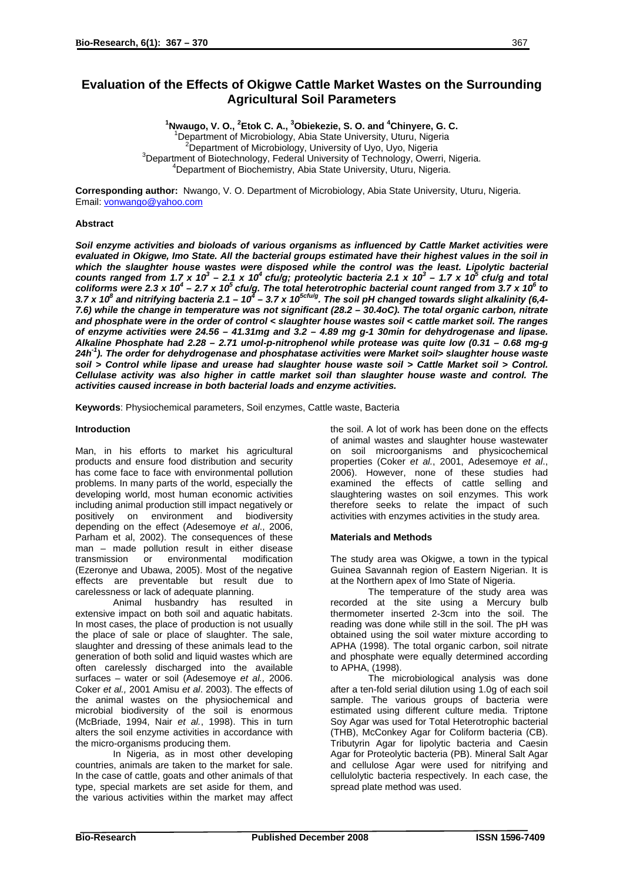# **Evaluation of the Effects of Okigwe Cattle Market Wastes on the Surrounding Agricultural Soil Parameters**

**1**<br> **1 Nwaugo, V. O., <sup>2</sup> Etok C. A., <sup>3</sup> Obiekezie, S. O. and <sup>4</sup> Chinyere, G. C. <br>
<b>1 Linux Linux Linux Linux Linux Linux** Department of Microbiology, Abia State University, Uturu, Nigeria 2 Department of Microbiology, University of Uyo, Uyo, Nigeria <sup>3</sup>  $3$ Department of Biotechnology, Federal University of Technology, Owerri, Nigeria. Department of Biochemistry, Abia State University, Uturu, Nigeria.

**Corresponding author:** Nwango, V. O. Department of Microbiology, Abia State University, Uturu, Nigeria. Email: [vonwango@yahoo.com](mailto:vonwango@yahoo.com)

# **Abstract**

*Soil enzyme activities and bioloads of various organisms as influenced by Cattle Market activities were evaluated in Okigwe, Imo State. All the bacterial groups estimated have their highest values in the soil in which the slaughter house wastes were disposed while the control was the least. Lipolytic bacterial counts ranged from 1.7 x 103 – 2.1 x 104 cfu/g; proteolytic bacteria 2.1 x 103 – 1.7 x 105 cfu/g and total* coliforms were 2.3 x 10<sup>4</sup> – 2.7 x 10<sup>5</sup> cfu/g. The total heterotrophic bacterial count ranged from 3.7 x 10<sup>6</sup> to 3.7 x 10<sup>8</sup> and nitrifying bacteria 2.1 – 10<sup>4</sup> – 3.7 x 10<sup>5cfu/g</sup>. The soil pH changed towards slight alkalinity (6,4-*7.6) while the change in temperature was not significant (28.2 – 30.4oC). The total organic carbon, nitrate and phosphate were in the order of control < slaughter house wastes soil < cattle market soil. The ranges of enzyme activities were 24.56 – 41.31mg and 3.2 – 4.89 mg g-1 30min for dehydrogenase and lipase. Alkaline Phosphate had 2.28 – 2.71 umol-p-nitrophenol while protease was quite low (0.31 – 0.68 mg-g 24h-1). The order for dehydrogenase and phosphatase activities were Market soil> slaughter house waste soil > Control while lipase and urease had slaughter house waste soil > Cattle Market soil > Control. Cellulase activity was also higher in cattle market soil than slaughter house waste and control. The activities caused increase in both bacterial loads and enzyme activities.* 

**Keywords**: Physiochemical parameters, Soil enzymes, Cattle waste, Bacteria

## **Introduction**

Man, in his efforts to market his agricultural products and ensure food distribution and security has come face to face with environmental pollution problems. In many parts of the world, especially the developing world, most human economic activities including animal production still impact negatively or positively on environment and biodiversity depending on the effect (Adesemoye *et al*., 2006, Parham et al, 2002). The consequences of these man – made pollution result in either disease transmission or environmental modification (Ezeronye and Ubawa, 2005). Most of the negative effects are preventable but result due to carelessness or lack of adequate planning.

Animal husbandry has resulted in extensive impact on both soil and aquatic habitats. In most cases, the place of production is not usually the place of sale or place of slaughter. The sale, slaughter and dressing of these animals lead to the generation of both solid and liquid wastes which are often carelessly discharged into the available surfaces – water or soil (Adesemoye *et al.,* 2006. Coker *et al.,* 2001 Amisu *et al*. 2003). The effects of the animal wastes on the physiochemical and microbial biodiversity of the soil is enormous (McBriade, 1994, Nair *et al.*, 1998). This in turn alters the soil enzyme activities in accordance with the micro-organisms producing them.

In Nigeria, as in most other developing countries, animals are taken to the market for sale. In the case of cattle, goats and other animals of that type, special markets are set aside for them, and the various activities within the market may affect

the soil. A lot of work has been done on the effects of animal wastes and slaughter house wastewater on soil microorganisms and physicochemical properties (Coker *et al.*, 2001, Adesemoye *et al*., 2006). However, none of these studies had examined the effects of cattle selling and slaughtering wastes on soil enzymes. This work therefore seeks to relate the impact of such activities with enzymes activities in the study area.

### **Materials and Methods**

The study area was Okigwe, a town in the typical Guinea Savannah region of Eastern Nigerian. It is at the Northern apex of Imo State of Nigeria.

The temperature of the study area was recorded at the site using a Mercury bulb thermometer inserted 2-3cm into the soil. The reading was done while still in the soil. The pH was obtained using the soil water mixture according to APHA (1998). The total organic carbon, soil nitrate and phosphate were equally determined according to APHA, (1998).

The microbiological analysis was done after a ten-fold serial dilution using 1.0g of each soil sample. The various groups of bacteria were estimated using different culture media. Triptone Soy Agar was used for Total Heterotrophic bacterial (THB), McConkey Agar for Coliform bacteria (CB). Tributyrin Agar for lipolytic bacteria and Caesin Agar for Proteolytic bacteria (PB). Mineral Salt Agar and cellulose Agar were used for nitrifying and cellulolytic bacteria respectively. In each case, the spread plate method was used.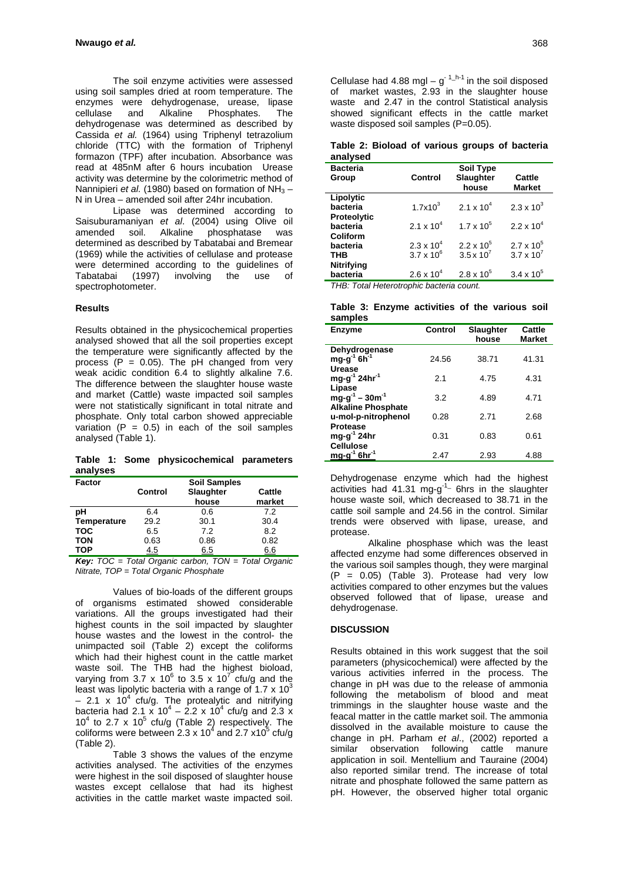The soil enzyme activities were assessed using soil samples dried at room temperature. The enzymes were dehydrogenase, urease, lipase cellulase and Alkaline Phosphates. The dehydrogenase was determined as described by Cassida *et al.* (1964) using Triphenyl tetrazolium chloride (TTC) with the formation of Triphenyl formazon (TPF) after incubation. Absorbance was read at 485nM after 6 hours incubation Urease activity was determine by the colorimetric method of Nannipieri *et al.* (1980) based on formation of NH<sub>3</sub> – N in Urea – amended soil after 24hr incubation.

Lipase was determined according to Saisuburamaniyan *et al*. (2004) using Olive oil amended soil. Alkaline phosphatase was determined as described by Tabatabai and Bremear (1969) while the activities of cellulase and protease were determined according to the guidelines of Tabatabai (1997) involving the use of spectrophotometer.

#### **Results**

Results obtained in the physicochemical properties analysed showed that all the soil properties except the temperature were significantly affected by the process (P =  $0.05$ ). The pH changed from very weak acidic condition 6.4 to slightly alkaline 7.6. The difference between the slaughter house waste and market (Cattle) waste impacted soil samples were not statistically significant in total nitrate and phosphate. Only total carbon showed appreciable variation ( $P = 0.5$ ) in each of the soil samples analysed (Table 1).

**Table 1: Some physicochemical parameters analyses** 

| Factor             | <b>Soil Samples</b> |                    |                  |  |  |
|--------------------|---------------------|--------------------|------------------|--|--|
|                    | Control             | Slaughter<br>house | Cattle<br>market |  |  |
| pН                 | 6.4                 | 0.6                | 7.2              |  |  |
| <b>Temperature</b> | 29.2                | 30.1               | 30.4             |  |  |
| TOC                | 6.5                 | 7.2                | 8.2              |  |  |
| <b>TON</b>         | 0.63                | 0.86               | 0.82             |  |  |
| TOP                | 4.5                 | 6.5                | 6.6              |  |  |

*Key: TOC = Total Organic carbon, TON = Total Organic Nitrate, TOP = Total Organic Phosphate* 

Values of bio-loads of the different groups of organisms estimated showed considerable variations. All the groups investigated had their highest counts in the soil impacted by slaughter house wastes and the lowest in the control- the unimpacted soil (Table 2) except the coliforms which had their highest count in the cattle market waste soil. The THB had the highest bioload, varying from 3.7 x 10<sup>6</sup> to 3.5 x 10<sup>7</sup> cfu/g and the least was lipolytic bacteria with a range of 1.7  $\times$  10<sup>3</sup>  $-$  2.1 x 10<sup>4</sup> cfu/g. The protealytic and nitrifying bacteria had 2.1 x 10<sup>4</sup> – 2.2 x 10<sup>4</sup> cfu/g and 2.3 x  $10<sup>4</sup>$  to 2.7 x  $10<sup>5</sup>$  cfu/g (Table 2) respectively. The coliforms were between 2.3 x 10<sup>4</sup> and 2.7 x10<sup>5</sup> cfu/g (Table 2).

Table 3 shows the values of the enzyme activities analysed. The activities of the enzymes were highest in the soil disposed of slaughter house wastes except cellalose that had its highest activities in the cattle market waste impacted soil. Cellulase had 4.88 mgl –  $g^{-1-h-1}$  in the soil disposed of market wastes, 2.93 in the slaughter house waste and 2.47 in the control Statistical analysis showed significant effects in the cattle market waste disposed soil samples (P=0.05).

**Table 2: Bioload of various groups of bacteria analysed** 

| <b>Bacteria</b><br>Group | Control             | <b>Soil Type</b><br><b>Slaughter</b><br>house | Cattle<br><b>Market</b> |
|--------------------------|---------------------|-----------------------------------------------|-------------------------|
| Lipolytic                |                     |                                               |                         |
| bacteria                 | $1.7x10^3$          | $2.1 \times 10^{4}$                           | $2.3 \times 10^{3}$     |
| Proteolytic              |                     |                                               |                         |
| bacteria                 | 2.1 x $10^4$        | $1.7 \times 10^{5}$                           | $2.2 \times 10^{4}$     |
| <b>Coliform</b>          |                     |                                               |                         |
| bacteria                 | $2.3 \times 10^{4}$ | $2.2 \times 10^5$                             | $2.7 \times 10^5$       |
| тнв                      | $3.7 \times 10^{6}$ | $3.5 \times 10^{7}$                           | $3.7 \times 10^{7}$     |
| <b>Nitrifying</b>        |                     |                                               |                         |
| bacteria                 | $2.6 \times 10^{4}$ | $2.8 \times 10^{5}$                           | $3.4 \times 10^{5}$     |

*THB: Total Heterotrophic bacteria count.* 

**Table 3: Enzyme activities of the various soil samples** 

| <b>Enzyme</b>                         | Control | <b>Slaughter</b><br>house | Cattle<br><b>Market</b> |
|---------------------------------------|---------|---------------------------|-------------------------|
| Dehydrogenase                         |         |                           |                         |
| $mg-g^{-1}$ 6h-1                      | 24.56   | 38.71                     | 41.31                   |
| Urease                                |         |                           |                         |
| mg-g <sup>-1</sup> 24hr <sup>-1</sup> | 2.1     | 4.75                      | 4.31                    |
| Lipase                                |         |                           |                         |
| $mg - g^{-1} - 30m^{-1}$              | 3.2     | 4.89                      | 4.71                    |
| <b>Alkaline Phosphate</b>             |         |                           |                         |
| u-mol-p-nitrophenol                   | 0.28    | 2.71                      | 2.68                    |
| <b>Protease</b>                       |         |                           |                         |
| mg-g $^{-1}$ 24hr                     | 0.31    | 0.83                      | 0.61                    |
| <b>Cellulose</b>                      |         |                           |                         |
| $mg-g^{-1}$ 6hr <sup>-1</sup>         | 2.47    | 2.93                      | 4.88                    |
|                                       |         |                           |                         |

Dehydrogenase enzyme which had the highest activities had 41.31 mg-g $^{-1}$  6hrs in the slaughter house waste soil, which decreased to 38.71 in the cattle soil sample and 24.56 in the control. Similar trends were observed with lipase, urease, and protease.

Alkaline phosphase which was the least affected enzyme had some differences observed in the various soil samples though, they were marginal (P = 0.05) (Table 3). Protease had very low activities compared to other enzymes but the values observed followed that of lipase, urease and dehydrogenase.

### **DISCUSSION**

Results obtained in this work suggest that the soil parameters (physicochemical) were affected by the various activities inferred in the process. The change in pH was due to the release of ammonia following the metabolism of blood and meat trimmings in the slaughter house waste and the feacal matter in the cattle market soil. The ammonia dissolved in the available moisture to cause the change in pH. Parham *et al*., (2002) reported a similar observation following cattle manure application in soil. Mentellium and Tauraine (2004) also reported similar trend. The increase of total nitrate and phosphate followed the same pattern as pH. However, the observed higher total organic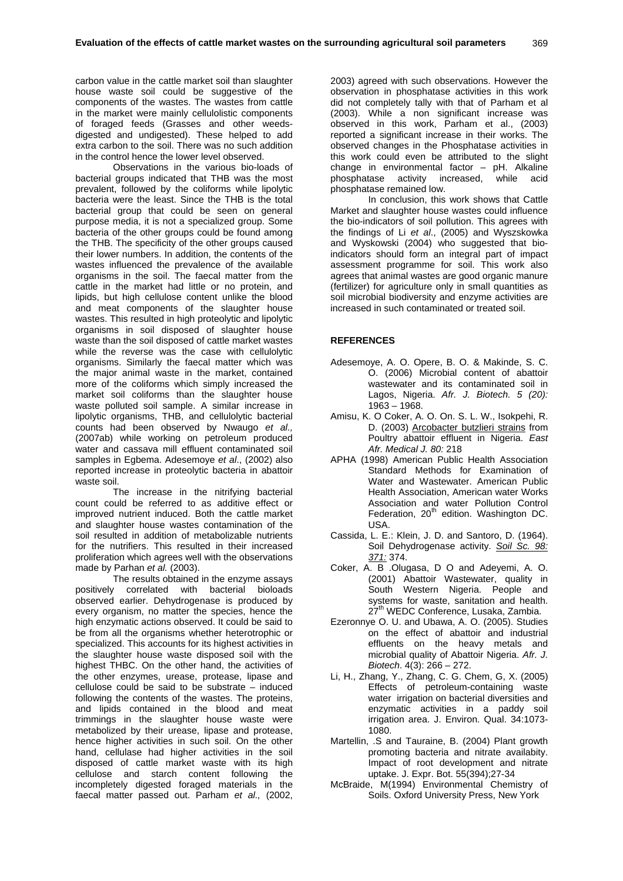carbon value in the cattle market soil than slaughter house waste soil could be suggestive of the components of the wastes. The wastes from cattle in the market were mainly cellulolistic components of foraged feeds (Grasses and other weedsdigested and undigested). These helped to add extra carbon to the soil. There was no such addition in the control hence the lower level observed.

Observations in the various bio-loads of bacterial groups indicated that THB was the most prevalent, followed by the coliforms while lipolytic bacteria were the least. Since the THB is the total bacterial group that could be seen on general purpose media, it is not a specialized group. Some bacteria of the other groups could be found among the THB. The specificity of the other groups caused their lower numbers. In addition, the contents of the wastes influenced the prevalence of the available organisms in the soil. The faecal matter from the cattle in the market had little or no protein, and lipids, but high cellulose content unlike the blood and meat components of the slaughter house wastes. This resulted in high proteolytic and lipolytic organisms in soil disposed of slaughter house waste than the soil disposed of cattle market wastes while the reverse was the case with cellulolytic organisms. Similarly the faecal matter which was the major animal waste in the market, contained more of the coliforms which simply increased the market soil coliforms than the slaughter house waste polluted soil sample. A similar increase in lipolytic organisms, THB, and cellulolytic bacterial counts had been observed by Nwaugo *et al.,* (2007ab) while working on petroleum produced water and cassava mill effluent contaminated soil samples in Egbema. Adesemoye *et al*., (2002) also reported increase in proteolytic bacteria in abattoir waste soil.

The increase in the nitrifying bacterial count could be referred to as additive effect or improved nutrient induced. Both the cattle market and slaughter house wastes contamination of the soil resulted in addition of metabolizable nutrients for the nutrifiers. This resulted in their increased proliferation which agrees well with the observations made by Parhan *et al.* (2003).

The results obtained in the enzyme assays positively correlated with bacterial bioloads observed earlier. Dehydrogenase is produced by every organism, no matter the species, hence the high enzymatic actions observed. It could be said to be from all the organisms whether heterotrophic or specialized. This accounts for its highest activities in the slaughter house waste disposed soil with the highest THBC. On the other hand, the activities of the other enzymes, urease, protease, lipase and cellulose could be said to be substrate – induced following the contents of the wastes. The proteins, and lipids contained in the blood and meat trimmings in the slaughter house waste were metabolized by their urease, lipase and protease, hence higher activities in such soil. On the other hand, cellulase had higher activities in the soil disposed of cattle market waste with its high cellulose and starch content following the incompletely digested foraged materials in the faecal matter passed out. Parham *et al.,* (2002,

2003) agreed with such observations. However the observation in phosphatase activities in this work did not completely tally with that of Parham et al (2003). While a non significant increase was observed in this work, Parham et al., (2003) reported a significant increase in their works. The observed changes in the Phosphatase activities in this work could even be attributed to the slight change in environmental factor – pH. Alkaline phosphatase activity increased, while acid phosphatase remained low.

In conclusion, this work shows that Cattle Market and slaughter house wastes could influence the bio-indicators of soil pollution. This agrees with the findings of Li *et al*., (2005) and Wyszskowka and Wyskowski (2004) who suggested that bioindicators should form an integral part of impact assessment programme for soil. This work also agrees that animal wastes are good organic manure (fertilizer) for agriculture only in small quantities as soil microbial biodiversity and enzyme activities are increased in such contaminated or treated soil.

#### **REFERENCES**

- Adesemoye, A. O. Opere, B. O. & Makinde, S. C. O. (2006) Microbial content of abattoir wastewater and its contaminated soil in Lagos, Nigeria. *Afr. J. Biotech. 5 (20):* 1963 – 1968.
- Amisu, K. O Coker, A. O. On. S. L. W., Isokpehi, R. D. (2003) Arcobacter butzlieri strains from Poultry abattoir effluent in Nigeria. *East Afr. Medical J. 80:* 218
- APHA (1998) American Public Health Association Standard Methods for Examination of Water and Wastewater. American Public Health Association, American water Works Association and water Pollution Control Federation, 20<sup>th</sup> edition. Washington DC. USA.
- Cassida, L. E.: Klein, J. D. and Santoro, D. (1964). Soil Dehydrogenase activity. *Soil Sc. 98: 371:* 374.
- Coker, A. B .Olugasa, D O and Adeyemi, A. O. (2001) Abattoir Wastewater, quality in South Western Nigeria. People and systems for waste, sanitation and health. 27<sup>th</sup> WEDC Conference, Lusaka, Zambia.
- Ezeronnye O. U. and Ubawa, A. O. (2005). Studies on the effect of abattoir and industrial effluents on the heavy metals and microbial quality of Abattoir Nigeria. *Afr. J. Biotech*. 4(3): 266 – 272.
- Li, H., Zhang, Y., Zhang, C. G. Chem, G, X. (2005) Effects of petroleum-containing waste water irrigation on bacterial diversities and enzymatic activities in a paddy soil irrigation area. J. Environ. Qual. 34:1073- 1080.
- Martellin, .S and Tauraine, B. (2004) Plant growth promoting bacteria and nitrate availabity. Impact of root development and nitrate uptake. J. Expr. Bot. 55(394);27-34
- McBraide, M(1994) Environmental Chemistry of Soils. Oxford University Press, New York